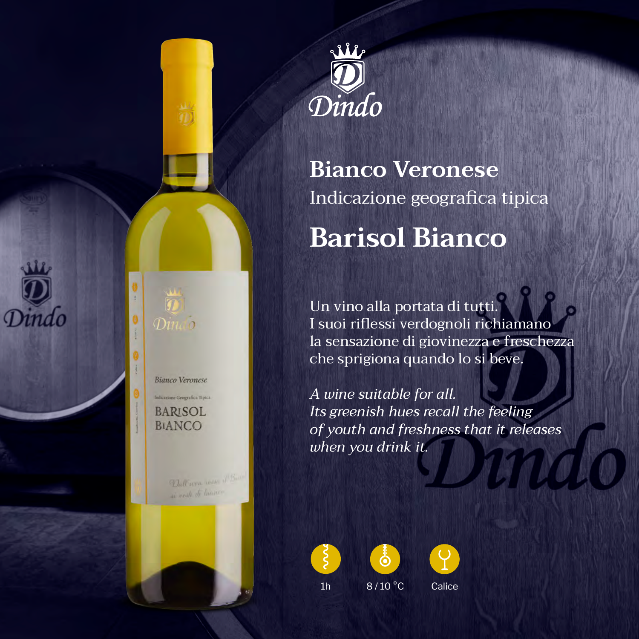



# **Bianco Veronese** Indicazione geografica tipica **Barisol Bianco**

Un vino alla portata di tutti. I suoi riflessi verdognoli richiamano la sensazione di giovinezza e freschezza che sprigiona quando lo si beve.

*A wine suitable for all. Its greenish hues recall the feeling of youth and freshness that it releases when you drink it.*







1h 8/10 °C Calice